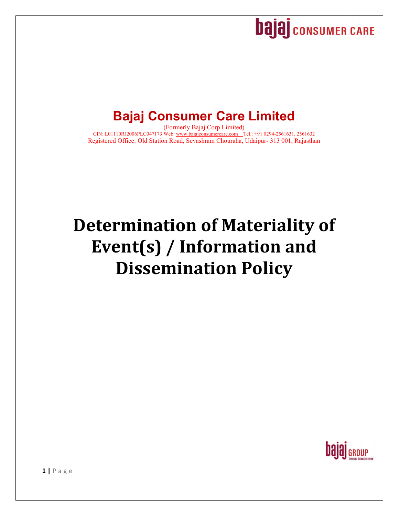

## **Bajaj Consumer Care Limited**

(Formerly Bajaj Corp Limited) CIN: L01110RJ2006PLC047173 Web: www.bajajconsumercare.com Tel.: +91 0294-2561631, 2561632 Registered Office: Old Station Road, Sevashram Chouraha, Udaipur- 313 001, Rajasthan

# **Determination of Materiality of Event(s) / Information and Dissemination Policy**

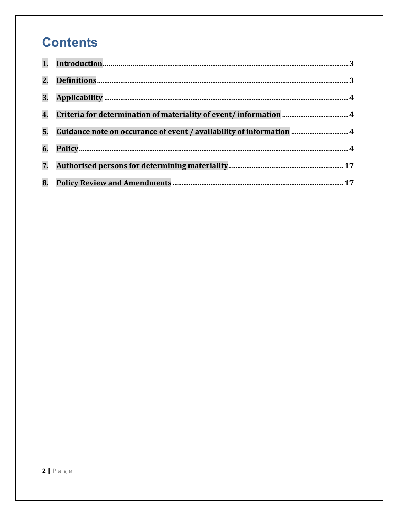## **Contents**

| 3. |                                                                     |
|----|---------------------------------------------------------------------|
| 4. |                                                                     |
| 5. | Guidance note on occurance of event / availability of information 4 |
| 6. |                                                                     |
| 7. |                                                                     |
| 8. |                                                                     |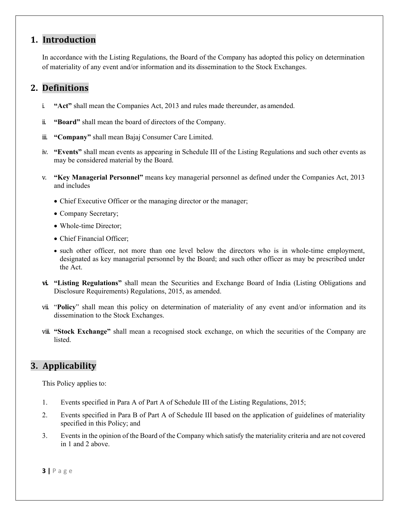## **1. Introduction**

In accordance with the Listing Regulations, the Board of the Company has adopted this policy on determination of materiality of any event and/or information and its dissemination to the Stock Exchanges.

## **2. Definitions**

- i. **"Act"** shall mean the Companies Act, 2013 and rules made thereunder, as amended.
- ii. **"Board"** shall mean the board of directors of the Company.
- iii. **"Company"** shall mean Bajaj Consumer Care Limited.
- iv. **"Events"** shall mean events as appearing in Schedule III of the Listing Regulations and such other events as may be considered material by the Board.
- v. **"Key Managerial Personnel"** means key managerial personnel as defined under the Companies Act, 2013 and includes
	- Chief Executive Officer or the managing director or the manager;
	- Company Secretary;
	- Whole-time Director;
	- Chief Financial Officer:
	- such other officer, not more than one level below the directors who is in whole-time employment, designated as key managerial personnel by the Board; and such other officer as may be prescribed under the Act.
- **vi. "Listing Regulations"** shall mean the Securities and Exchange Board of India (Listing Obligations and Disclosure Requirements) Regulations, 2015, as amended.
- vii. "**Policy**" shall mean this policy on determination of materiality of any event and/or information and its dissemination to the Stock Exchanges.
- viii. **"Stock Exchange"** shall mean a recognised stock exchange, on which the securities of the Company are listed.

## **3. Applicability**

This Policy applies to:

- 1. Events specified in Para A of Part A of Schedule III of the Listing Regulations, 2015;
- 2. Events specified in Para B of Part A of Schedule III based on the application of guidelines of materiality specified in this Policy; and
- 3. Events in the opinion of the Board of the Company which satisfy the materiality criteria and are not covered in 1 and 2 above.

**3 |** Page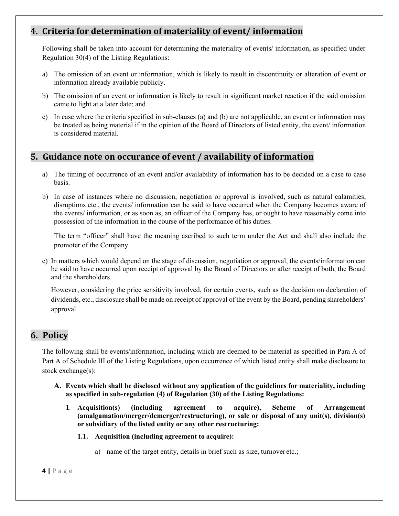## **4. Criteria for determination of materiality of event/ information**

Following shall be taken into account for determining the materiality of events/ information, as specified under Regulation 30(4) of the Listing Regulations:

- a) The omission of an event or information, which is likely to result in discontinuity or alteration of event or information already available publicly.
- b) The omission of an event or information is likely to result in significant market reaction if the said omission came to light at a later date; and
- c) In case where the criteria specified in sub-clauses (a) and (b) are not applicable, an event or information may be treated as being material if in the opinion of the Board of Directors of listed entity, the event/ information is considered material.

## **5. Guidance note on occurance of event / availability of information**

- a) The timing of occurrence of an event and/or availability of information has to be decided on a case to case basis.
- b) In case of instances where no discussion, negotiation or approval is involved, such as natural calamities, disruptions etc., the events/ information can be said to have occurred when the Company becomes aware of the events/ information, or as soon as, an officer of the Company has, or ought to have reasonably come into possession of the information in the course of the performance of his duties.

The term "officer" shall have the meaning ascribed to such term under the Act and shall also include the promoter of the Company.

c) In matters which would depend on the stage of discussion, negotiation or approval, the events/information can be said to have occurred upon receipt of approval by the Board of Directors or after receipt of both, the Board and the shareholders.

However, considering the price sensitivity involved, for certain events, such as the decision on declaration of dividends, etc., disclosure shall be made on receipt of approval of the event by the Board, pending shareholders' approval.

## **6. Policy**

The following shall be events/information, including which are deemed to be material as specified in Para A of Part A of Schedule III of the Listing Regulations, upon occurrence of which listed entity shall make disclosure to stock exchange(s):

- **A. Events which shall be disclosed without any application of the guidelines for materiality, including as specified in sub-regulation (4) of Regulation (30) of the Listing Regulations:** 
	- **1. Acquisition(s) (including agreement to acquire), Scheme of Arrangement (amalgamation/merger/demerger/restructuring), or sale or disposal of any unit(s), division(s) or subsidiary of the listed entity or any other restructuring:** 
		- **1.1. Acquisition (including agreement to acquire):** 
			- a) name of the target entity, details in brief such as size, turnover etc.;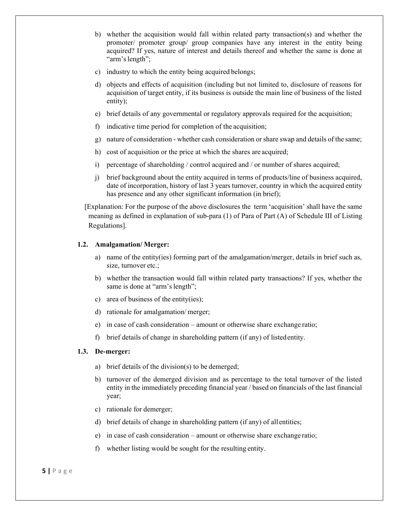- b) whether the acquisition would fall within related party transaction(s) and whether the promoter/ promoter group/ group companies have any interest in the entity being acquired? If yes, nature of interest and details thereof and whether the same is done at "arm's length";
- c) industry to which the entity being acquired belongs;
- d) objects and effects of acquisition (including but not limited to, disclosure of reasons for acquisition of target entity, if its business is outside the main line of business of the listed entity);
- e) brief details of any governmental or regulatory approvals required for the acquisition;
- f) indicative time period for completion of the acquisition;
- g) nature of consideration whether cash consideration or share swap and details of the same;
- h) cost of acquisition or the price at which the shares are acquired;
- i) percentage of shareholding  $/$  control acquired and  $/$  or number of shares acquired;
- j) brief background about the entity acquired in terms of products/line of business acquired, date of incorporation, history of last 3 years turnover, country in which the acquired entity has presence and any other significant information (in brief);

[Explanation: For the purpose of the above disclosures the term 'acquisition' shall have the same meaning as defined in explanation of sub-para (1) of Para of Part (A) of Schedule III of Listing Regulations].

#### **1.2. Amalgamation/ Merger:**

- a) name of the entity(ies) forming part of the amalgamation/merger, details in brief such as, size, turnover etc.;
- b) whether the transaction would fall within related party transactions? If yes, whether the same is done at "arm's length";
- c) area of business of the entity(ies);
- d) rationale for amalgamation/ merger;
- e) in case of cash consideration amount or otherwise share exchange ratio;
- f) brief details of change in shareholding pattern (if any) of listed entity.

#### **1.3. De-merger:**

- a) brief details of the division(s) to be demerged;
- b) turnover of the demerged division and as percentage to the total turnover of the listed entity in the immediately preceding financial year / based on financials of the last financial year;
- c) rationale for demerger;
- d) brief details of change in shareholding pattern (if any) of all entities;
- e) in case of cash consideration amount or otherwise share exchange ratio;
- f) whether listing would be sought for the resulting entity.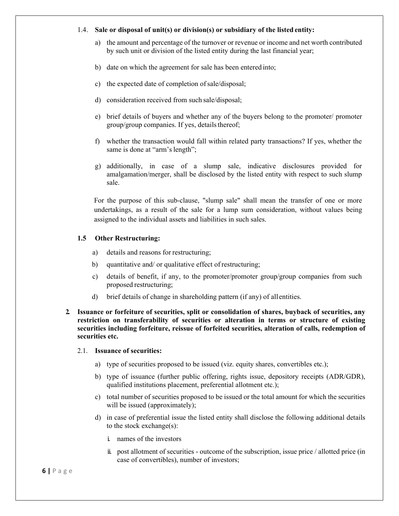#### 1.4. **Sale or disposal of unit(s) or division(s) or subsidiary of the listed entity:**

- a) the amount and percentage of the turnover or revenue or income and net worth contributed by such unit or division of the listed entity during the last financial year;
- b) date on which the agreement for sale has been entered into;
- c) the expected date of completion of sale/disposal;
- d) consideration received from such sale/disposal;
- e) brief details of buyers and whether any of the buyers belong to the promoter/ promoter group/group companies. If yes, details thereof;
- f) whether the transaction would fall within related party transactions? If yes, whether the same is done at "arm's length";
- g) additionally, in case of a slump sale, indicative disclosures provided for amalgamation/merger, shall be disclosed by the listed entity with respect to such slump sale.

For the purpose of this sub-clause, "slump sale" shall mean the transfer of one or more undertakings, as a result of the sale for a lump sum consideration, without values being assigned to the individual assets and liabilities in such sales.

#### **1.5 Other Restructuring:**

- a) details and reasons for restructuring;
- b) quantitative and/ or qualitative effect of restructuring;
- c) details of benefit, if any, to the promoter/promoter group/group companies from such proposed restructuring;
- d) brief details of change in shareholding pattern (if any) of all entities.
- **2. Issuance or forfeiture of securities, split or consolidation of shares, buyback of securities, any restriction on transferability of securities or alteration in terms or structure of existing securities including forfeiture, reissue of forfeited securities, alteration of calls, redemption of securities etc.**

#### 2.1. **Issuance of securities:**

- a) type of securities proposed to be issued (viz. equity shares, convertibles etc.);
- b) type of issuance (further public offering, rights issue, depository receipts (ADR/GDR), qualified institutions placement, preferential allotment etc.);
- c) total number of securities proposed to be issued or the total amount for which the securities will be issued (approximately);
- d) in case of preferential issue the listed entity shall disclose the following additional details to the stock exchange(s):
	- i. names of the investors
	- ii. post allotment of securities outcome of the subscription, issue price / allotted price (in case of convertibles), number of investors;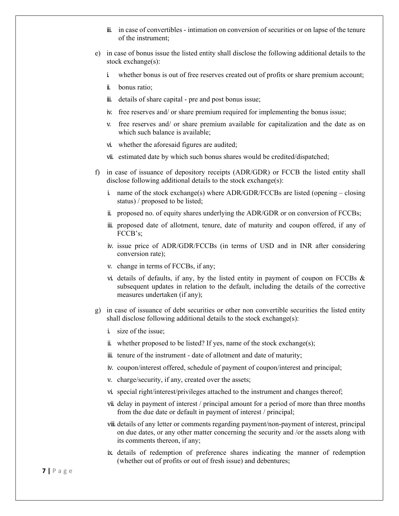- iii. in case of convertibles intimation on conversion of securities or on lapse of the tenure of the instrument;
- e) in case of bonus issue the listed entity shall disclose the following additional details to the stock exchange(s):
	- i. whether bonus is out of free reserves created out of profits or share premium account;
	- ii. bonus ratio;
	- iii. details of share capital pre and post bonus issue;
	- iv. free reserves and/ or share premium required for implementing the bonus issue;
	- v. free reserves and/ or share premium available for capitalization and the date as on which such balance is available;
	- vi. whether the aforesaid figures are audited;
	- vii. estimated date by which such bonus shares would be credited/dispatched;
- f) in case of issuance of depository receipts (ADR/GDR) or FCCB the listed entity shall disclose following additional details to the stock exchange(s):
	- i. name of the stock exchange(s) where ADR/GDR/FCCBs are listed (opening  $-$  closing status) / proposed to be listed;
	- ii. proposed no. of equity shares underlying the ADR/GDR or on conversion of FCCBs;
	- iii. proposed date of allotment, tenure, date of maturity and coupon offered, if any of FCCB's;
	- iv. issue price of ADR/GDR/FCCBs (in terms of USD and in INR after considering conversion rate);
	- v. change in terms of FCCBs, if any;
	- vi. details of defaults, if any, by the listed entity in payment of coupon on FCCBs & subsequent updates in relation to the default, including the details of the corrective measures undertaken (if any);
- g) in case of issuance of debt securities or other non convertible securities the listed entity shall disclose following additional details to the stock exchange(s):
	- i. size of the issue;
	- ii. whether proposed to be listed? If yes, name of the stock exchange(s);
	- iii. tenure of the instrument date of allotment and date of maturity;
	- iv. coupon/interest offered, schedule of payment of coupon/interest and principal;
	- v. charge/security, if any, created over the assets;
	- vi. special right/interest/privileges attached to the instrument and changes thereof;
	- vii. delay in payment of interest / principal amount for a period of more than three months from the due date or default in payment of interest / principal;
	- viii. details of any letter or comments regarding payment/non-payment of interest, principal on due dates, or any other matter concerning the security and /or the assets along with its comments thereon, if any;
	- ix. details of redemption of preference shares indicating the manner of redemption (whether out of profits or out of fresh issue) and debentures;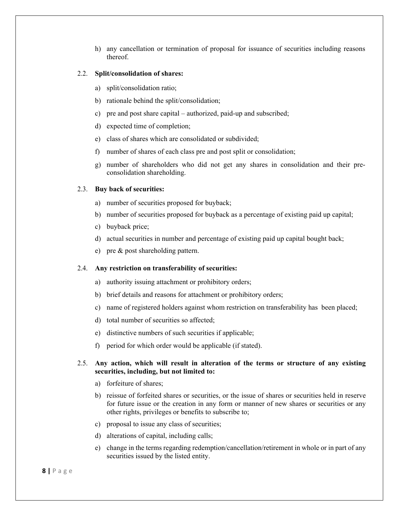h) any cancellation or termination of proposal for issuance of securities including reasons thereof.

#### 2.2. **Split/consolidation of shares:**

- a) split/consolidation ratio;
- b) rationale behind the split/consolidation;
- c) pre and post share capital authorized, paid-up and subscribed;
- d) expected time of completion;
- e) class of shares which are consolidated or subdivided;
- f) number of shares of each class pre and post split or consolidation;
- g) number of shareholders who did not get any shares in consolidation and their preconsolidation shareholding.

#### 2.3. **Buy back of securities:**

- a) number of securities proposed for buyback;
- b) number of securities proposed for buyback as a percentage of existing paid up capital;
- c) buyback price;
- d) actual securities in number and percentage of existing paid up capital bought back;
- e) pre & post shareholding pattern.

#### 2.4. **Any restriction on transferability of securities:**

- a) authority issuing attachment or prohibitory orders;
- b) brief details and reasons for attachment or prohibitory orders;
- c) name of registered holders against whom restriction on transferability has been placed;
- d) total number of securities so affected;
- e) distinctive numbers of such securities if applicable;
- f) period for which order would be applicable (if stated).

#### 2.5. **Any action, which will result in alteration of the terms or structure of any existing securities, including, but not limited to:**

- a) forfeiture of shares;
- b) reissue of forfeited shares or securities, or the issue of shares or securities held in reserve for future issue or the creation in any form or manner of new shares or securities or any other rights, privileges or benefits to subscribe to;
- c) proposal to issue any class of securities;
- d) alterations of capital, including calls;
- e) change in the terms regarding redemption/cancellation/retirement in whole or in part of any securities issued by the listed entity.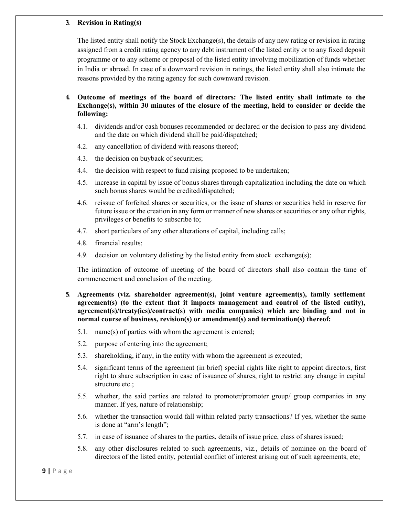#### **3. Revision in Rating(s)**

 The listed entity shall notify the Stock Exchange(s), the details of any new rating or revision in rating assigned from a credit rating agency to any debt instrument of the listed entity or to any fixed deposit programme or to any scheme or proposal of the listed entity involving mobilization of funds whether in India or abroad. In case of a downward revision in ratings, the listed entity shall also intimate the reasons provided by the rating agency for such downward revision.

#### **4. Outcome of meetings of the board of directors: The listed entity shall intimate to the Exchange(s), within 30 minutes of the closure of the meeting, held to consider or decide the following:**

- 4.1. dividends and/or cash bonuses recommended or declared or the decision to pass any dividend and the date on which dividend shall be paid/dispatched;
- 4.2. any cancellation of dividend with reasons thereof;
- 4.3. the decision on buyback of securities;
- 4.4. the decision with respect to fund raising proposed to be undertaken;
- 4.5. increase in capital by issue of bonus shares through capitalization including the date on which such bonus shares would be credited/dispatched;
- 4.6. reissue of forfeited shares or securities, or the issue of shares or securities held in reserve for future issue or the creation in any form or manner of new shares or securities or any other rights, privileges or benefits to subscribe to;
- 4.7. short particulars of any other alterations of capital, including calls;
- 4.8. financial results;
- 4.9. decision on voluntary delisting by the listed entity from stock exchange(s);

The intimation of outcome of meeting of the board of directors shall also contain the time of commencement and conclusion of the meeting.

- **5. Agreements (viz. shareholder agreement(s), joint venture agreement(s), family settlement agreement(s) (to the extent that it impacts management and control of the listed entity), agreement(s)/treaty(ies)/contract(s) with media companies) which are binding and not in normal course of business, revision(s) or amendment(s) and termination(s) thereof:** 
	- 5.1. name(s) of parties with whom the agreement is entered;
	- 5.2. purpose of entering into the agreement;
	- 5.3. shareholding, if any, in the entity with whom the agreement is executed;
	- 5.4. significant terms of the agreement (in brief) special rights like right to appoint directors, first right to share subscription in case of issuance of shares, right to restrict any change in capital structure etc.;
	- 5.5. whether, the said parties are related to promoter/promoter group/ group companies in any manner. If yes, nature of relationship;
	- 5.6. whether the transaction would fall within related party transactions? If yes, whether the same is done at "arm's length";
	- 5.7. in case of issuance of shares to the parties, details of issue price, class of shares issued;
	- 5.8. any other disclosures related to such agreements, viz., details of nominee on the board of directors of the listed entity, potential conflict of interest arising out of such agreements, etc;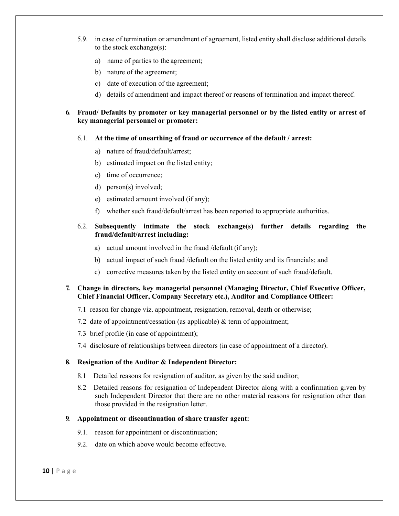- 5.9. in case of termination or amendment of agreement, listed entity shall disclose additional details to the stock exchange(s):
	- a) name of parties to the agreement;
	- b) nature of the agreement;
	- c) date of execution of the agreement;
	- d) details of amendment and impact thereof or reasons of termination and impact thereof.

#### **6. Fraud/ Defaults by promoter or key managerial personnel or by the listed entity or arrest of key managerial personnel or promoter:**

- 6.1. **At the time of unearthing of fraud or occurrence of the default / arrest:** 
	- a) nature of fraud/default/arrest;
	- b) estimated impact on the listed entity;
	- c) time of occurrence;
	- d) person(s) involved;
	- e) estimated amount involved (if any);
	- f) whether such fraud/default/arrest has been reported to appropriate authorities.

#### 6.2. **Subsequently intimate the stock exchange(s) further details regarding the fraud/default/arrest including:**

- a) actual amount involved in the fraud /default (if any);
- b) actual impact of such fraud /default on the listed entity and its financials; and
- c) corrective measures taken by the listed entity on account of such fraud/default.

#### **7. Change in directors, key managerial personnel (Managing Director, Chief Executive Officer, Chief Financial Officer, Company Secretary etc.), Auditor and Compliance Officer:**

- 7.1 reason for change viz. appointment, resignation, removal, death or otherwise;
- 7.2 date of appointment/cessation (as applicable) & term of appointment;
- 7.3 brief profile (in case of appointment);
- 7.4 disclosure of relationships between directors (in case of appointment of a director).

#### **8. Resignation of the Auditor & Independent Director:**

- 8.1 Detailed reasons for resignation of auditor, as given by the said auditor;
- 8.2 Detailed reasons for resignation of Independent Director along with a confirmation given by such Independent Director that there are no other material reasons for resignation other than those provided in the resignation letter.

#### **9. Appointment or discontinuation of share transfer agent:**

- 9.1. reason for appointment or discontinuation;
- 9.2. date on which above would become effective.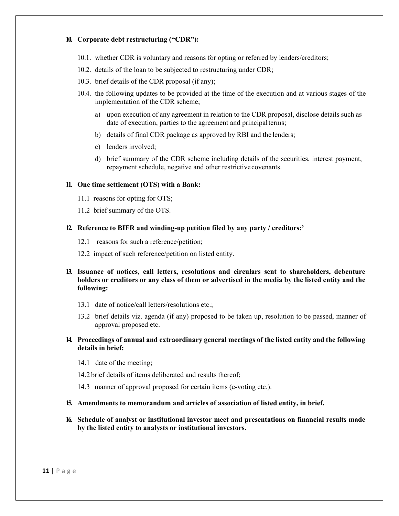#### **10. Corporate debt restructuring ("CDR"):**

- 10.1. whether CDR is voluntary and reasons for opting or referred by lenders/creditors;
- 10.2. details of the loan to be subjected to restructuring under CDR;
- 10.3. brief details of the CDR proposal (if any);
- 10.4. the following updates to be provided at the time of the execution and at various stages of the implementation of the CDR scheme;
	- a) upon execution of any agreement in relation to the CDR proposal, disclose details such as date of execution, parties to the agreement and principal terms;
	- b) details of final CDR package as approved by RBI and the lenders;
	- c) lenders involved;
	- d) brief summary of the CDR scheme including details of the securities, interest payment, repayment schedule, negative and other restrictive covenants.

#### **11. One time settlement (OTS) with a Bank:**

- 11.1 reasons for opting for OTS;
- 11.2 brief summary of the OTS.
- **12. Reference to BIFR and winding-up petition filed by any party / creditors:'** 
	- 12.1 reasons for such a reference/petition;
	- 12.2 impact of such reference/petition on listed entity.

#### **13. Issuance of notices, call letters, resolutions and circulars sent to shareholders, debenture holders or creditors or any class of them or advertised in the media by the listed entity and the following:**

- 13.1 date of notice/call letters/resolutions etc.;
- 13.2 brief details viz. agenda (if any) proposed to be taken up, resolution to be passed, manner of approval proposed etc.

#### **14. Proceedings of annual and extraordinary general meetings of the listed entity and the following details in brief:**

- 14.1 date of the meeting;
- 14.2 brief details of items deliberated and results thereof;
- 14.3 manner of approval proposed for certain items (e-voting etc.).

#### **15. Amendments to memorandum and articles of association of listed entity, in brief.**

**16. Schedule of analyst or institutional investor meet and presentations on financial results made by the listed entity to analysts or institutional investors.**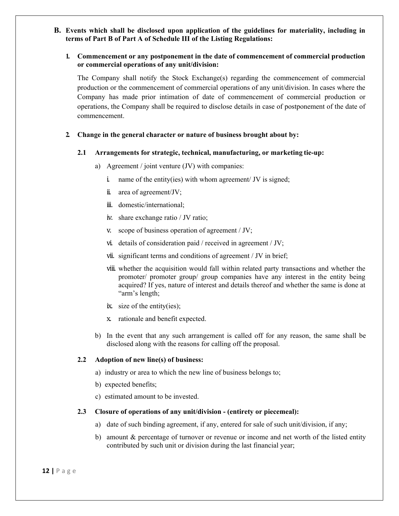**B. Events which shall be disclosed upon application of the guidelines for materiality, including in terms of Part B of Part A of Schedule III of the Listing Regulations:** 

#### **1. Commencement or any postponement in the date of commencement of commercial production or commercial operations of any unit/division:**

 The Company shall notify the Stock Exchange(s) regarding the commencement of commercial production or the commencement of commercial operations of any unit/division. In cases where the Company has made prior intimation of date of commencement of commercial production or operations, the Company shall be required to disclose details in case of postponement of the date of commencement.

#### **2. Change in the general character or nature of business brought about by:**

#### **2.1 Arrangements for strategic, technical, manufacturing, or marketing tie-up:**

- a) Agreement / joint venture (JV) with companies:
	- i. name of the entity(ies) with whom agreement/ JV is signed;
	- ii. area of agreement/JV;
	- iii. domestic/international;
	- iv. share exchange ratio / JV ratio;
	- v. scope of business operation of agreement / JV;
	- vi. details of consideration paid / received in agreement / JV;
	- vii. significant terms and conditions of agreement / JV in brief;
	- viii. whether the acquisition would fall within related party transactions and whether the promoter/ promoter group/ group companies have any interest in the entity being acquired? If yes, nature of interest and details thereof and whether the same is done at "arm's length;
	- ix. size of the entity(ies);
	- x. rationale and benefit expected.
- b) In the event that any such arrangement is called off for any reason, the same shall be disclosed along with the reasons for calling off the proposal.

#### **2.2 Adoption of new line(s) of business:**

- a) industry or area to which the new line of business belongs to;
- b) expected benefits;
- c) estimated amount to be invested.

#### **2.3 Closure of operations of any unit/division - (entirety or piecemeal):**

- a) date of such binding agreement, if any, entered for sale of such unit/division, if any;
- b) amount & percentage of turnover or revenue or income and net worth of the listed entity contributed by such unit or division during the last financial year;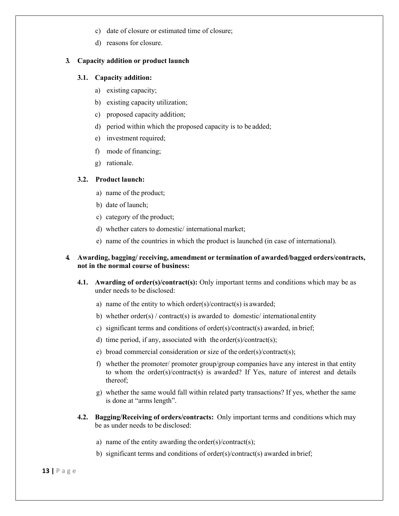- c) date of closure or estimated time of closure;
- d) reasons for closure.

#### **3. Capacity addition or product launch**

#### **3.1. Capacity addition:**

- a) existing capacity;
- b) existing capacity utilization;
- c) proposed capacity addition;
- d) period within which the proposed capacity is to be added;
- e) investment required;
- f) mode of financing;
- g) rationale.

#### **3.2. Product launch:**

- a) name of the product;
- b) date of launch;
- c) category of the product;
- d) whether caters to domestic/ international market;
- e) name of the countries in which the product is launched (in case of international).

#### **4. Awarding, bagging/ receiving, amendment or termination of awarded/bagged orders/contracts, not in the normal course of business:**

- **4.1. Awarding of order(s)/contract(s):** Only important terms and conditions which may be as under needs to be disclosed:
	- a) name of the entity to which order(s)/contract(s) is awarded;
	- b) whether order(s) / contract(s) is awarded to domestic/ international entity
	- c) significant terms and conditions of order(s)/contract(s) awarded, in brief;
	- d) time period, if any, associated with the order(s)/contract(s);
	- e) broad commercial consideration or size of the order(s)/contract(s);
	- f) whether the promoter/ promoter group/group companies have any interest in that entity to whom the order(s)/contract(s) is awarded? If Yes, nature of interest and details thereof;
	- g) whether the same would fall within related party transactions? If yes, whether the same is done at "arms length".
- **4.2. Bagging/Receiving of orders/contracts:** Only important terms and conditions which may be as under needs to be disclosed:
	- a) name of the entity awarding the order(s)/contract(s);
	- b) significant terms and conditions of order(s)/contract(s) awarded in brief;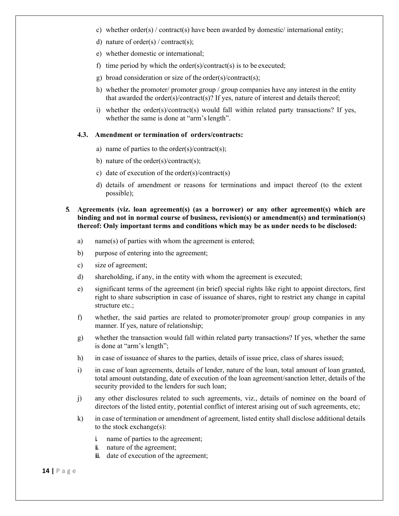- c) whether order(s) / contract(s) have been awarded by domestic/ international entity;
- d) nature of order(s) / contract(s);
- e) whether domestic or international;
- f) time period by which the order(s)/contract(s) is to be executed;
- g) broad consideration or size of the order(s)/contract(s);
- h) whether the promoter/ promoter group / group companies have any interest in the entity that awarded the order(s)/contract(s)? If yes, nature of interest and details thereof;
- i) whether the order(s)/contract(s) would fall within related party transactions? If yes, whether the same is done at "arm's length".

#### **4.3. Amendment or termination of orders/contracts:**

- a) name of parties to the order(s)/contract(s);
- b) nature of the order(s)/contract(s);
- c) date of execution of the order(s)/contract(s)
- d) details of amendment or reasons for terminations and impact thereof (to the extent possible);

#### **5. Agreements (viz. loan agreement(s) (as a borrower) or any other agreement(s) which are binding and not in normal course of business, revision(s) or amendment(s) and termination(s) thereof: Only important terms and conditions which may be as under needs to be disclosed:**

- a) name(s) of parties with whom the agreement is entered;
- b) purpose of entering into the agreement;
- c) size of agreement;
- d) shareholding, if any, in the entity with whom the agreement is executed;
- e) significant terms of the agreement (in brief) special rights like right to appoint directors, first right to share subscription in case of issuance of shares, right to restrict any change in capital structure etc.;
- f) whether, the said parties are related to promoter/promoter group/ group companies in any manner. If yes, nature of relationship;
- g) whether the transaction would fall within related party transactions? If yes, whether the same is done at "arm's length";
- h) in case of issuance of shares to the parties, details of issue price, class of shares issued;
- i) in case of loan agreements, details of lender, nature of the loan, total amount of loan granted, total amount outstanding, date of execution of the loan agreement/sanction letter, details of the security provided to the lenders for such loan;
- j) any other disclosures related to such agreements, viz., details of nominee on the board of directors of the listed entity, potential conflict of interest arising out of such agreements, etc;
- k) in case of termination or amendment of agreement, listed entity shall disclose additional details to the stock exchange(s):
	- i. name of parties to the agreement;
	- ii. nature of the agreement;
	- iii. date of execution of the agreement;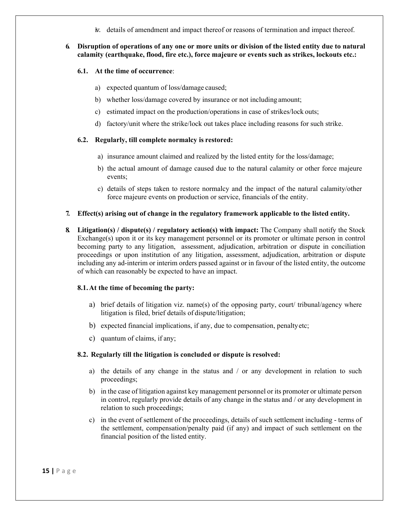iv. details of amendment and impact thereof or reasons of termination and impact thereof.

#### **6. Disruption of operations of any one or more units or division of the listed entity due to natural calamity (earthquake, flood, fire etc.), force majeure or events such as strikes, lockouts etc.:**

#### **6.1. At the time of occurrence**:

- a) expected quantum of loss/damage caused;
- b) whether loss/damage covered by insurance or not including amount;
- c) estimated impact on the production/operations in case of strikes/lock outs;
- d) factory/unit where the strike/lock out takes place including reasons for such strike.

#### **6.2. Regularly, till complete normalcy is restored:**

- a) insurance amount claimed and realized by the listed entity for the loss/damage;
- b) the actual amount of damage caused due to the natural calamity or other force majeure events;
- c) details of steps taken to restore normalcy and the impact of the natural calamity/other force majeure events on production or service, financials of the entity.

#### **7. Effect(s) arising out of change in the regulatory framework applicable to the listed entity.**

**8. Litigation(s) / dispute(s) / regulatory action(s) with impact:** The Company shall notify the Stock Exchange(s) upon it or its key management personnel or its promoter or ultimate person in control becoming party to any litigation, assessment, adjudication, arbitration or dispute in conciliation proceedings or upon institution of any litigation, assessment, adjudication, arbitration or dispute including any ad-interim or interim orders passed against or in favour of the listed entity, the outcome of which can reasonably be expected to have an impact.

#### **8.1.At the time of becoming the party:**

- a) brief details of litigation viz. name(s) of the opposing party, court/ tribunal/agency where litigation is filed, brief details of dispute/litigation;
- b) expected financial implications, if any, due to compensation, penalty etc;
- c) quantum of claims, if any;

#### **8.2. Regularly till the litigation is concluded or dispute is resolved:**

- a) the details of any change in the status and / or any development in relation to such proceedings;
- b) in the case of litigation against key management personnel or its promoter or ultimate person in control, regularly provide details of any change in the status and / or any development in relation to such proceedings;
- c) in the event of settlement of the proceedings, details of such settlement including terms of the settlement, compensation/penalty paid (if any) and impact of such settlement on the financial position of the listed entity.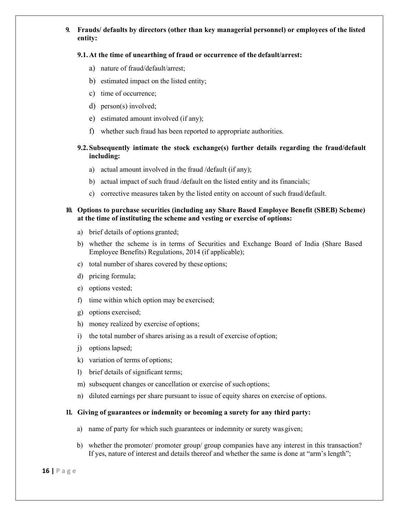#### **9. Frauds/ defaults by directors (other than key managerial personnel) or employees of the listed entity:**

#### **9.1. At the time of unearthing of fraud or occurrence of the default/arrest:**

- a) nature of fraud/default/arrest;
- b) estimated impact on the listed entity;
- c) time of occurrence;
- d) person(s) involved;
- e) estimated amount involved (if any);
- f) whether such fraud has been reported to appropriate authorities.

#### **9.2. Subsequently intimate the stock exchange(s) further details regarding the fraud/default including:**

- a) actual amount involved in the fraud /default (if any);
- b) actual impact of such fraud /default on the listed entity and its financials;
- c) corrective measures taken by the listed entity on account of such fraud/default.

#### **10. Options to purchase securities (including any Share Based Employee Benefit (SBEB) Scheme) at the time of instituting the scheme and vesting or exercise of options:**

- a) brief details of options granted;
- b) whether the scheme is in terms of Securities and Exchange Board of India (Share Based Employee Benefits) Regulations, 2014 (if applicable);
- c) total number of shares covered by these options;
- d) pricing formula;
- e) options vested;
- f) time within which option may be exercised;
- g) options exercised;
- h) money realized by exercise of options;
- i) the total number of shares arising as a result of exercise of option;
- j) options lapsed;
- k) variation of terms of options;
- l) brief details of significant terms;
- m) subsequent changes or cancellation or exercise of such options;
- n) diluted earnings per share pursuant to issue of equity shares on exercise of options.

#### **11. Giving of guarantees or indemnity or becoming a surety for any third party:**

- a) name of party for which such guarantees or indemnity or surety was given;
- b) whether the promoter/ promoter group/ group companies have any interest in this transaction? If yes, nature of interest and details thereof and whether the same is done at "arm's length";